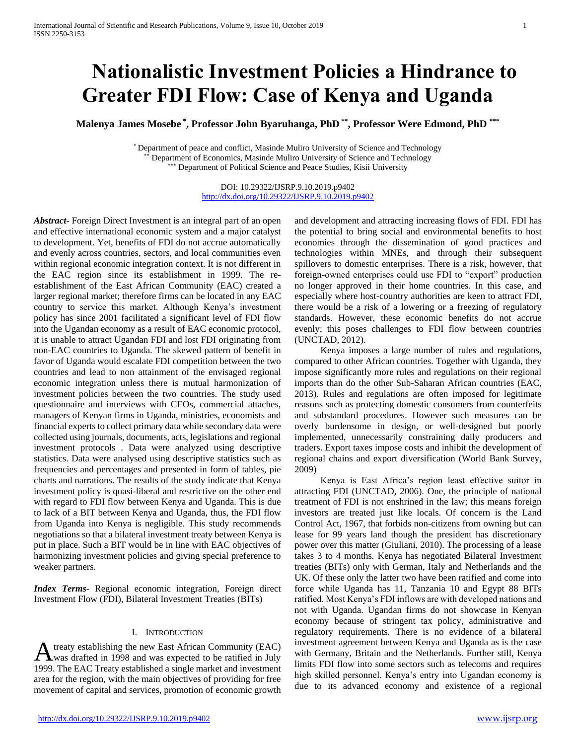# **Nationalistic Investment Policies a Hindrance to Greater FDI Flow: Case of Kenya and Uganda**

**Malenya James Mosebe \* , Professor John Byaruhanga, PhD \*\* , Professor Were Edmond, PhD \*\*\***

\* Department of peace and conflict, Masinde Muliro University of Science and Technology Department of Economics, Masinde Muliro University of Science and Technology \* Department of Political Science and Peace Studies, Kisii University

> DOI: 10.29322/IJSRP.9.10.2019.p9402 <http://dx.doi.org/10.29322/IJSRP.9.10.2019.p9402>

*Abstract***-** Foreign Direct Investment is an integral part of an open and effective international economic system and a major catalyst to development. Yet, benefits of FDI do not accrue automatically and evenly across countries, sectors, and local communities even within regional economic integration context. It is not different in the EAC region since its establishment in 1999. The reestablishment of the East African Community (EAC) created a larger regional market; therefore firms can be located in any EAC country to service this market. Although Kenya's investment policy has since 2001 facilitated a significant level of FDI flow into the Ugandan economy as a result of EAC economic protocol, it is unable to attract Ugandan FDI and lost FDI originating from non-EAC countries to Uganda. The skewed pattern of benefit in favor of Uganda would escalate FDI competition between the two countries and lead to non attainment of the envisaged regional economic integration unless there is mutual harmonization of investment policies between the two countries. The study used questionnaire and interviews with CEOs, commercial attaches, managers of Kenyan firms in Uganda, ministries, economists and financial experts to collect primary data while secondary data were collected using journals, documents, acts, legislations and regional investment protocols . Data were analyzed using descriptive statistics. Data were analysed using descriptive statistics such as frequencies and percentages and presented in form of tables, pie charts and narrations. The results of the study indicate that Kenya investment policy is quasi-liberal and restrictive on the other end with regard to FDI flow between Kenya and Uganda. This is due to lack of a BIT between Kenya and Uganda, thus, the FDI flow from Uganda into Kenya is negligible. This study recommends negotiations so that a bilateral investment treaty between Kenya is put in place. Such a BIT would be in line with EAC objectives of harmonizing investment policies and giving special preference to weaker partners.

*Index Terms*- Regional economic integration, Foreign direct Investment Flow (FDI), Bilateral Investment Treaties (BITs)

#### I. INTRODUCTION

treaty establishing the new East African Community (EAC) A treaty establishing the new East African Community (EAC)<br>was drafted in 1998 and was expected to be ratified in July 1999. The EAC Treaty established a single market and investment area for the region, with the main objectives of providing for free movement of capital and services, promotion of economic growth

and development and attracting increasing flows of FDI. FDI has the potential to bring social and environmental benefits to host economies through the dissemination of good practices and technologies within MNEs, and through their subsequent spillovers to domestic enterprises. There is a risk, however, that foreign-owned enterprises could use FDI to "export" production no longer approved in their home countries. In this case, and especially where host-country authorities are keen to attract FDI, there would be a risk of a lowering or a freezing of regulatory standards. However, these economic benefits do not accrue evenly; this poses challenges to FDI flow between countries (UNCTAD, 2012).

 Kenya imposes a large number of rules and regulations, compared to other African countries. Together with Uganda, they impose significantly more rules and regulations on their regional imports than do the other Sub-Saharan African countries (EAC, 2013). Rules and regulations are often imposed for legitimate reasons such as protecting domestic consumers from counterfeits and substandard procedures. However such measures can be overly burdensome in design, or well-designed but poorly implemented, unnecessarily constraining daily producers and traders. Export taxes impose costs and inhibit the development of regional chains and export diversification (World Bank Survey, 2009)

 Kenya is East Africa's region least effective suitor in attracting FDI (UNCTAD, 2006). One, the principle of national treatment of FDI is not enshrined in the law; this means foreign investors are treated just like locals. Of concern is the Land Control Act, 1967, that forbids non-citizens from owning but can lease for 99 years land though the president has discretionary power over this matter (Giuliani, 2010). The processing of a lease takes 3 to 4 months. Kenya has negotiated Bilateral Investment treaties (BITs) only with German, Italy and Netherlands and the UK. Of these only the latter two have been ratified and come into force while Uganda has 11, Tanzania 10 and Egypt 88 BITs ratified. Most Kenya's FDI inflows are with developed nations and not with Uganda. Ugandan firms do not showcase in Kenyan economy because of stringent tax policy, administrative and regulatory requirements. There is no evidence of a bilateral investment agreement between Kenya and Uganda as is the case with Germany, Britain and the Netherlands. Further still, Kenya limits FDI flow into some sectors such as telecoms and requires high skilled personnel. Kenya's entry into Ugandan economy is due to its advanced economy and existence of a regional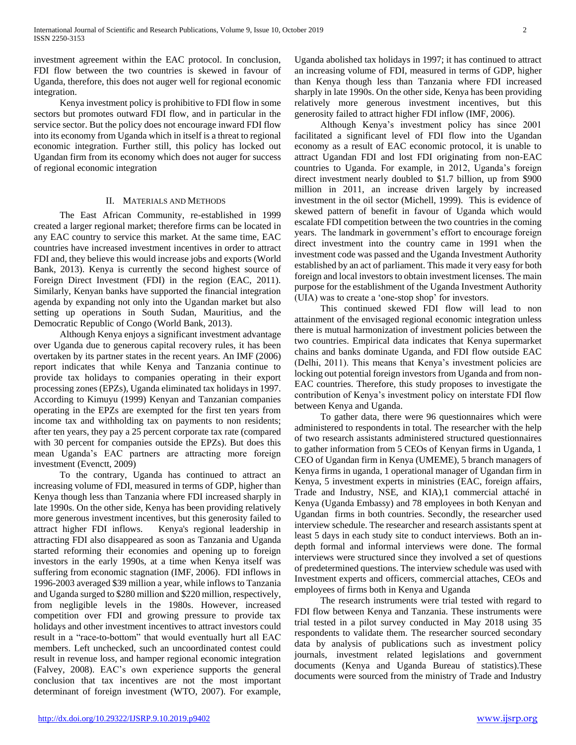investment agreement within the EAC protocol. In conclusion, FDI flow between the two countries is skewed in favour of Uganda, therefore, this does not auger well for regional economic integration.

 Kenya investment policy is prohibitive to FDI flow in some sectors but promotes outward FDI flow, and in particular in the service sector. But the policy does not encourage inward FDI flow into its economy from Uganda which in itself is a threat to regional economic integration. Further still, this policy has locked out Ugandan firm from its economy which does not auger for success of regional economic integration

### II. MATERIALS AND METHODS

 The East African Community, re-established in 1999 created a larger regional market; therefore firms can be located in any EAC country to service this market. At the same time, EAC countries have increased investment incentives in order to attract FDI and, they believe this would increase jobs and exports (World Bank, 2013). Kenya is currently the second highest source of Foreign Direct Investment (FDI) in the region (EAC, 2011). Similarly, Kenyan banks have supported the financial integration agenda by expanding not only into the Ugandan market but also setting up operations in South Sudan, Mauritius, and the Democratic Republic of Congo (World Bank, 2013).

 Although Kenya enjoys a significant investment advantage over Uganda due to generous capital recovery rules, it has been overtaken by its partner states in the recent years. An IMF (2006) report indicates that while Kenya and Tanzania continue to provide tax holidays to companies operating in their export processing zones (EPZs), Uganda eliminated tax holidays in 1997. According to Kimuyu (1999) Kenyan and Tanzanian companies operating in the EPZs are exempted for the first ten years from income tax and withholding tax on payments to non residents; after ten years, they pay a 25 percent corporate tax rate (compared with 30 percent for companies outside the EPZs). But does this mean Uganda's EAC partners are attracting more foreign investment (Evenctt, 2009)

 To the contrary, Uganda has continued to attract an increasing volume of FDI, measured in terms of GDP, higher than Kenya though less than Tanzania where FDI increased sharply in late 1990s. On the other side, Kenya has been providing relatively more generous investment incentives, but this generosity failed to attract higher FDI inflows. Kenya's regional leadership in attracting FDI also disappeared as soon as Tanzania and Uganda started reforming their economies and opening up to foreign investors in the early 1990s, at a time when Kenya itself was suffering from economic stagnation (IMF, 2006). FDI inflows in 1996-2003 averaged \$39 million a year, while inflows to Tanzania and Uganda surged to \$280 million and \$220 million, respectively, from negligible levels in the 1980s. However, increased competition over FDI and growing pressure to provide tax holidays and other investment incentives to attract investors could result in a "race-to-bottom" that would eventually hurt all EAC members. Left unchecked, such an uncoordinated contest could result in revenue loss, and hamper regional economic integration (Falvey, 2008). EAC's own experience supports the general conclusion that tax incentives are not the most important determinant of foreign investment (WTO, 2007). For example,

Uganda abolished tax holidays in 1997; it has continued to attract an increasing volume of FDI, measured in terms of GDP, higher than Kenya though less than Tanzania where FDI increased sharply in late 1990s. On the other side, Kenya has been providing relatively more generous investment incentives, but this generosity failed to attract higher FDI inflow (IMF, 2006).

 Although Kenya's investment policy has since 2001 facilitated a significant level of FDI flow into the Ugandan economy as a result of EAC economic protocol, it is unable to attract Ugandan FDI and lost FDI originating from non-EAC countries to Uganda. For example, in 2012, Uganda's foreign direct investment nearly doubled to \$1.7 billion, up from \$900 million in 2011, an increase driven largely by increased investment in the oil sector (Michell, 1999). This is evidence of skewed pattern of benefit in favour of Uganda which would escalate FDI competition between the two countries in the coming years. The landmark in government's effort to encourage foreign direct investment into the country came in 1991 when the investment code was passed and the Uganda Investment Authority established by an act of parliament. This made it very easy for both foreign and local investors to obtain investment licenses. The main purpose for the establishment of the Uganda Investment Authority (UIA) was to create a 'one-stop shop' for investors.

 This continued skewed FDI flow will lead to non attainment of the envisaged regional economic integration unless there is mutual harmonization of investment policies between the two countries. Empirical data indicates that Kenya supermarket chains and banks dominate Uganda, and FDI flow outside EAC (Delhi, 2011). This means that Kenya's investment policies are locking out potential foreign investors from Uganda and from non-EAC countries. Therefore, this study proposes to investigate the contribution of Kenya's investment policy on interstate FDI flow between Kenya and Uganda.

 To gather data, there were 96 questionnaires which were administered to respondents in total. The researcher with the help of two research assistants administered structured questionnaires to gather information from 5 CEOs of Kenyan firms in Uganda, 1 CEO of Ugandan firm in Kenya (UMEME), 5 branch managers of Kenya firms in uganda, 1 operational manager of Ugandan firm in Kenya, 5 investment experts in ministries (EAC, foreign affairs, Trade and Industry, NSE, and KIA),1 commercial attaché in Kenya (Uganda Embassy) and 78 employees in both Kenyan and Ugandan firms in both countries. Secondly, the researcher used interview schedule. The researcher and research assistants spent at least 5 days in each study site to conduct interviews. Both an indepth formal and informal interviews were done. The formal interviews were structured since they involved a set of questions of predetermined questions. The interview schedule was used with Investment experts and officers, commercial attaches, CEOs and employees of firms both in Kenya and Uganda

 The research instruments were trial tested with regard to FDI flow between Kenya and Tanzania. These instruments were trial tested in a pilot survey conducted in May 2018 using 35 respondents to validate them. The researcher sourced secondary data by analysis of publications such as investment policy journals, investment related legislations and government documents (Kenya and Uganda Bureau of statistics).These documents were sourced from the ministry of Trade and Industry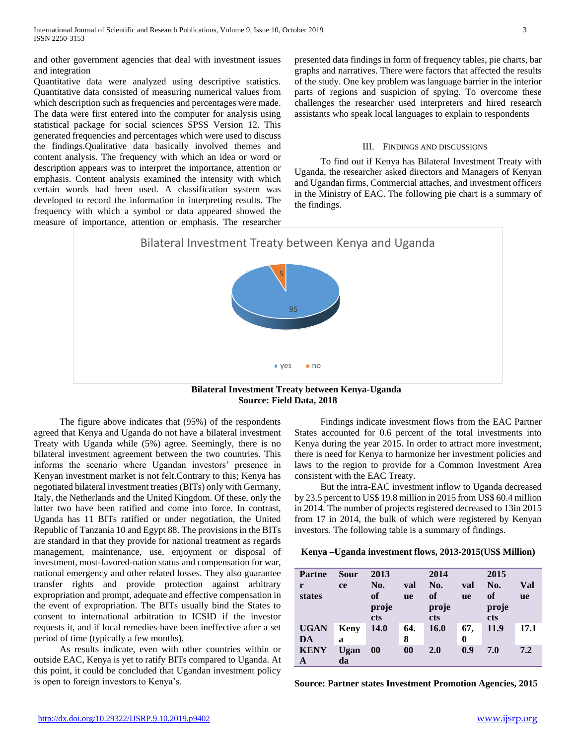and other government agencies that deal with investment issues and integration

Quantitative data were analyzed using descriptive statistics. Quantitative data consisted of measuring numerical values from which description such as frequencies and percentages were made. The data were first entered into the computer for analysis using statistical package for social sciences SPSS Version 12. This generated frequencies and percentages which were used to discuss the findings.Qualitative data basically involved themes and content analysis. The frequency with which an idea or word or description appears was to interpret the importance, attention or emphasis. Content analysis examined the intensity with which certain words had been used. A classification system was developed to record the information in interpreting results. The frequency with which a symbol or data appeared showed the measure of importance, attention or emphasis. The researcher presented data findings in form of frequency tables, pie charts, bar graphs and narratives. There were factors that affected the results of the study. One key problem was language barrier in the interior parts of regions and suspicion of spying. To overcome these challenges the researcher used interpreters and hired research assistants who speak local languages to explain to respondents

#### III. FINDINGS AND DISCUSSIONS

 To find out if Kenya has Bilateral Investment Treaty with Uganda, the researcher asked directors and Managers of Kenyan and Ugandan firms, Commercial attaches, and investment officers in the Ministry of EAC. The following pie chart is a summary of the findings.



**Source: Field Data, 2018**

 The figure above indicates that (95%) of the respondents agreed that Kenya and Uganda do not have a bilateral investment Treaty with Uganda while (5%) agree. Seemingly, there is no bilateral investment agreement between the two countries. This informs the scenario where Ugandan investors' presence in Kenyan investment market is not felt.Contrary to this; Kenya has negotiated bilateral investment treaties (BITs) only with Germany, Italy, the Netherlands and the United Kingdom. Of these, only the latter two have been ratified and come into force. In contrast, Uganda has 11 BITs ratified or under negotiation, the United Republic of Tanzania 10 and Egypt 88. The provisions in the BITs are standard in that they provide for national treatment as regards management, maintenance, use, enjoyment or disposal of investment, most-favored-nation status and compensation for war, national emergency and other related losses. They also guarantee transfer rights and provide protection against arbitrary expropriation and prompt, adequate and effective compensation in the event of expropriation. The BITs usually bind the States to consent to international arbitration to ICSID if the investor requests it, and if local remedies have been ineffective after a set period of time (typically a few months).

 As results indicate, even with other countries within or outside EAC, Kenya is yet to ratify BITs compared to Uganda. At this point, it could be concluded that Ugandan investment policy is open to foreign investors to Kenya's.

 Findings indicate investment flows from the EAC Partner States accounted for 0.6 percent of the total investments into Kenya during the year 2015. In order to attract more investment, there is need for Kenya to harmonize her investment policies and laws to the region to provide for a Common Investment Area consistent with the EAC Treaty.

 But the intra-EAC investment inflow to Uganda decreased by 23.5 percent to US\$ 19.8 million in 2015 from US\$ 60.4 million in 2014. The number of projects registered decreased to 13in 2015 from 17 in 2014, the bulk of which were registered by Kenyan investors. The following table is a summary of findings.

**Kenya –Uganda investment flows, 2013-2015(US\$ Million)**

| <b>Partne</b> | Sour        | 2013        |           | 2014  |           | 2015  |           |
|---------------|-------------|-------------|-----------|-------|-----------|-------|-----------|
| r             | <b>ce</b>   | No.         | val       | No.   | val       | No.   | Val       |
| states        |             | of          | <b>ue</b> | of    | <b>ue</b> | of    | <b>ue</b> |
|               |             | proje       |           | proje |           | proje |           |
|               |             | <b>cts</b>  |           | cts   |           | cts   |           |
| <b>UGAN</b>   | <b>Keny</b> | <b>14.0</b> | 64.       | 16.0  | 67,       | 11.9  | 17.1      |
| DA            | a           |             | 8         |       | 0         |       |           |
| <b>KENY</b>   | Ugan        | 00          | $\bf{00}$ | 2.0   | 0.9       | 7.0   | 7.2       |
| А             | da          |             |           |       |           |       |           |

**Source: Partner states Investment Promotion Agencies, 2015**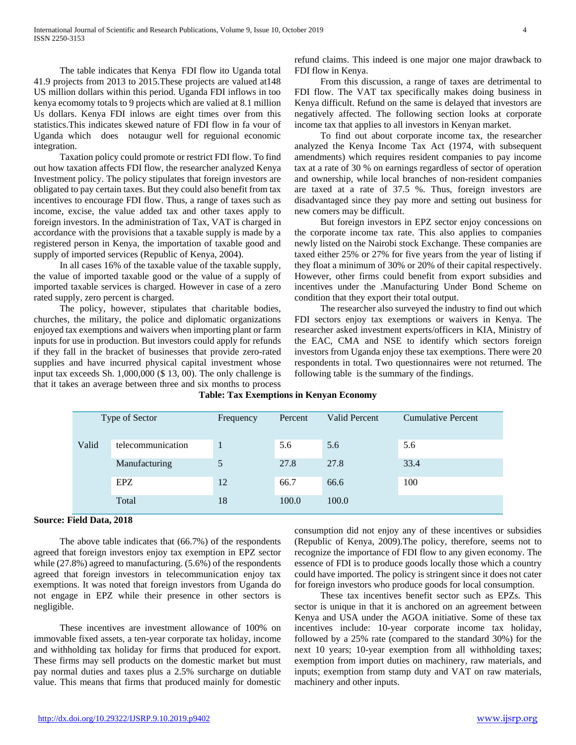The table indicates that Kenya FDI flow ito Uganda total 41.9 projects from 2013 to 2015.These projects are valued at148 US million dollars within this period. Uganda FDI inflows in too kenya ecomomy totals to 9 projects which are valied at 8.1 million Us dollars. Kenya FDI inlows are eight times over from this statistics.This indicates skewed nature of FDI flow in fa vour of Uganda which does notaugur well for reguional economic integration.

 Taxation policy could promote or restrict FDI flow. To find out how taxation affects FDI flow, the researcher analyzed Kenya Investment policy. The policy stipulates that foreign investors are obligated to pay certain taxes. But they could also benefit from tax incentives to encourage FDI flow. Thus, a range of taxes such as income, excise, the value added tax and other taxes apply to foreign investors. In the administration of Tax, VAT is charged in accordance with the provisions that a taxable supply is made by a registered person in Kenya, the importation of taxable good and supply of imported services (Republic of Kenya, 2004).

 In all cases 16% of the taxable value of the taxable supply, the value of imported taxable good or the value of a supply of imported taxable services is charged. However in case of a zero rated supply, zero percent is charged.

 The policy, however, stipulates that charitable bodies, churches, the military, the police and diplomatic organizations enjoyed tax exemptions and waivers when importing plant or farm inputs for use in production. But investors could apply for refunds if they fall in the bracket of businesses that provide zero-rated supplies and have incurred physical capital investment whose input tax exceeds Sh. 1,000,000 (\$ 13, 00). The only challenge is that it takes an average between three and six months to process refund claims. This indeed is one major one major drawback to FDI flow in Kenya.

 From this discussion, a range of taxes are detrimental to FDI flow. The VAT tax specifically makes doing business in Kenya difficult. Refund on the same is delayed that investors are negatively affected. The following section looks at corporate income tax that applies to all investors in Kenyan market.

 To find out about corporate income tax, the researcher analyzed the Kenya Income Tax Act (1974, with subsequent amendments) which requires resident companies to pay income tax at a rate of 30 % on earnings regardless of sector of operation and ownership, while local branches of non-resident companies are taxed at a rate of 37.5 %. Thus, foreign investors are disadvantaged since they pay more and setting out business for new comers may be difficult.

 But foreign investors in EPZ sector enjoy concessions on the corporate income tax rate. This also applies to companies newly listed on the Nairobi stock Exchange. These companies are taxed either 25% or 27% for five years from the year of listing if they float a minimum of 30% or 20% of their capital respectively. However, other firms could benefit from export subsidies and incentives under the .Manufacturing Under Bond Scheme on condition that they export their total output.

 The researcher also surveyed the industry to find out which FDI sectors enjoy tax exemptions or waivers in Kenya. The researcher asked investment experts/officers in KIA, Ministry of the EAC, CMA and NSE to identify which sectors foreign investors from Uganda enjoy these tax exemptions. There were 20 respondents in total. Two questionnaires were not returned. The following table is the summary of the findings.

|  |  | <b>Table: Tax Exemptions in Kenyan Economy</b> |  |  |  |
|--|--|------------------------------------------------|--|--|--|
|--|--|------------------------------------------------|--|--|--|

| Type of Sector |                   | Frequency | Percent | <b>Valid Percent</b> | <b>Cumulative Percent</b> |
|----------------|-------------------|-----------|---------|----------------------|---------------------------|
| Valid          | telecommunication |           | 5.6     | 5.6                  | 5.6                       |
|                | Manufacturing     | 5         | 27.8    | 27.8                 | 33.4                      |
|                | EPZ.              | 12        | 66.7    | 66.6                 | 100                       |
|                | Total             | 18        | 100.0   | 100.0                |                           |

## **Source: Field Data, 2018**

 The above table indicates that (66.7%) of the respondents agreed that foreign investors enjoy tax exemption in EPZ sector while (27.8%) agreed to manufacturing. (5.6%) of the respondents agreed that foreign investors in telecommunication enjoy tax exemptions. It was noted that foreign investors from Uganda do not engage in EPZ while their presence in other sectors is negligible.

 These incentives are investment allowance of 100% on immovable fixed assets, a ten-year corporate tax holiday, income and withholding tax holiday for firms that produced for export. These firms may sell products on the domestic market but must pay normal duties and taxes plus a 2.5% surcharge on dutiable value. This means that firms that produced mainly for domestic consumption did not enjoy any of these incentives or subsidies (Republic of Kenya, 2009).The policy, therefore, seems not to recognize the importance of FDI flow to any given economy. The essence of FDI is to produce goods locally those which a country could have imported. The policy is stringent since it does not cater for foreign investors who produce goods for local consumption.

 These tax incentives benefit sector such as EPZs. This sector is unique in that it is anchored on an agreement between Kenya and USA under the AGOA initiative. Some of these tax incentives include: 10-year corporate income tax holiday, followed by a 25% rate (compared to the standard 30%) for the next 10 years; 10-year exemption from all withholding taxes; exemption from import duties on machinery, raw materials, and inputs; exemption from stamp duty and VAT on raw materials, machinery and other inputs.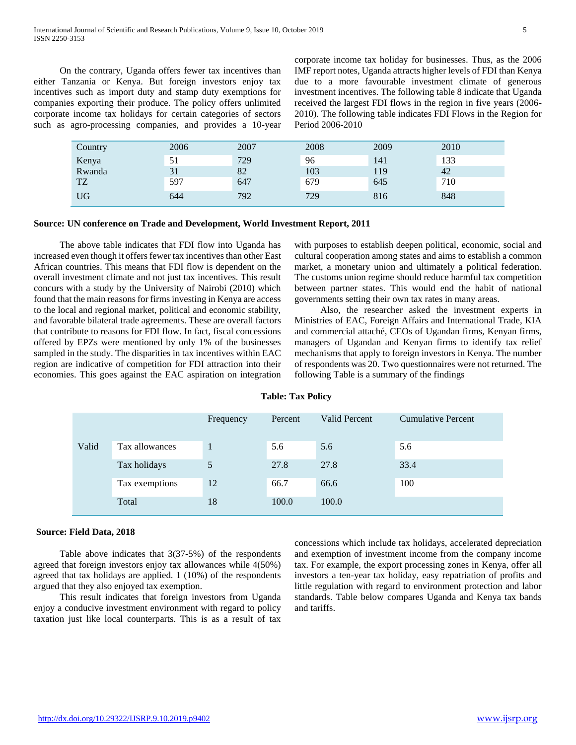On the contrary, Uganda offers fewer tax incentives than either Tanzania or Kenya. But foreign investors enjoy tax incentives such as import duty and stamp duty exemptions for companies exporting their produce. The policy offers unlimited corporate income tax holidays for certain categories of sectors such as agro-processing companies, and provides a 10-year corporate income tax holiday for businesses. Thus, as the 2006 IMF report notes, Uganda attracts higher levels of FDI than Kenya due to a more favourable investment climate of generous investment incentives. The following table 8 indicate that Uganda received the largest FDI flows in the region in five years (2006- 2010). The following table indicates FDI Flows in the Region for Period 2006-2010

| Country   | 2006 | 2007 | 2008 | 2009 | 2010 |
|-----------|------|------|------|------|------|
| Kenya     | 51   | 729  | 96   | 141  | 133  |
| Rwanda    | 31   | 82   | 103  | 119  | 42   |
| <b>TZ</b> | 597  | 647  | 679  | 645  | 710  |
| <b>UG</b> | 644  | 792  | 729  | 816  | 848  |

### **Source: UN conference on Trade and Development, World Investment Report, 2011**

 The above table indicates that FDI flow into Uganda has increased even though it offers fewer tax incentives than other East African countries. This means that FDI flow is dependent on the overall investment climate and not just tax incentives. This result concurs with a study by the University of Nairobi (2010) which found that the main reasons for firms investing in Kenya are access to the local and regional market, political and economic stability, and favorable bilateral trade agreements. These are overall factors that contribute to reasons for FDI flow. In fact, fiscal concessions offered by EPZs were mentioned by only 1% of the businesses sampled in the study. The disparities in tax incentives within EAC region are indicative of competition for FDI attraction into their economies. This goes against the EAC aspiration on integration

with purposes to establish deepen political, economic, social and cultural cooperation among states and aims to establish a common market, a monetary union and ultimately a political federation. The customs union regime should reduce harmful tax competition between partner states. This would end the habit of national governments setting their own tax rates in many areas.

 Also, the researcher asked the investment experts in Ministries of EAC, Foreign Affairs and International Trade, KIA and commercial attaché, CEOs of Ugandan firms, Kenyan firms, managers of Ugandan and Kenyan firms to identify tax relief mechanisms that apply to foreign investors in Kenya. The number of respondents was 20. Two questionnaires were not returned. The following Table is a summary of the findings

## **Table: Tax Policy**

|       |                | Frequency | Percent | Valid Percent | <b>Cumulative Percent</b> |
|-------|----------------|-----------|---------|---------------|---------------------------|
| Valid | Tax allowances |           | 5.6     | 5.6           | 5.6                       |
|       | Tax holidays   | 5         | 27.8    | 27.8          | 33.4                      |
|       | Tax exemptions | 12        | 66.7    | 66.6          | 100                       |
|       | Total          | 18        | 100.0   | 100.0         |                           |

#### **Source: Field Data, 2018**

 Table above indicates that 3(37-5%) of the respondents agreed that foreign investors enjoy tax allowances while 4(50%) agreed that tax holidays are applied. 1 (10%) of the respondents argued that they also enjoyed tax exemption.

 This result indicates that foreign investors from Uganda enjoy a conducive investment environment with regard to policy taxation just like local counterparts. This is as a result of tax concessions which include tax holidays, accelerated depreciation and exemption of investment income from the company income tax. For example, the export processing zones in Kenya, offer all investors a ten-year tax holiday, easy repatriation of profits and little regulation with regard to environment protection and labor standards. Table below compares Uganda and Kenya tax bands and tariffs.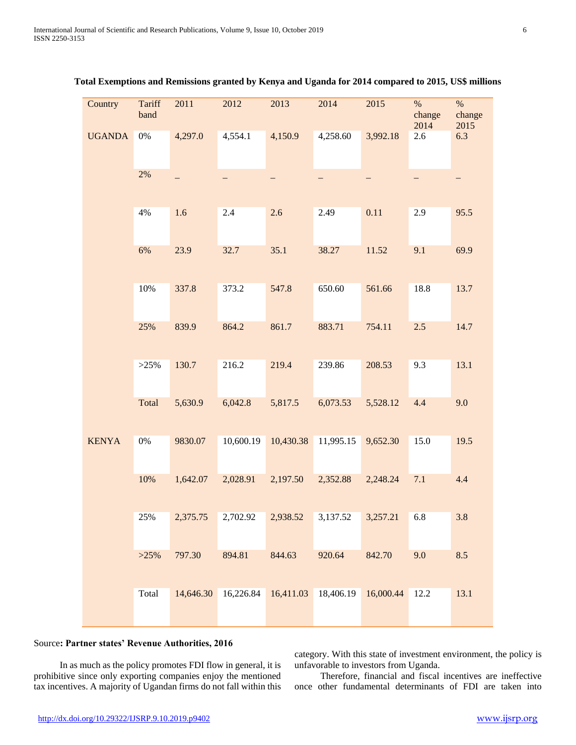| Country       | Tariff<br>band | 2011     | 2012      | 2013                                    | 2014      | 2015      | $\%$<br>change<br>2014 | $\%$<br>change<br>2015 |
|---------------|----------------|----------|-----------|-----------------------------------------|-----------|-----------|------------------------|------------------------|
| <b>UGANDA</b> | $0\%$          | 4,297.0  | 4,554.1   | 4,150.9                                 | 4,258.60  | 3,992.18  | 2.6                    | 6.3                    |
|               | $2\%$          |          |           |                                         |           |           |                        |                        |
|               | 4%             | 1.6      | 2.4       | 2.6                                     | 2.49      | 0.11      | 2.9                    | 95.5                   |
|               | 6%             | 23.9     | 32.7      | 35.1                                    | 38.27     | 11.52     | 9.1                    | 69.9                   |
|               | $10\%$         | 337.8    | 373.2     | 547.8                                   | 650.60    | 561.66    | 18.8                   | 13.7                   |
|               | 25%            | 839.9    | 864.2     | 861.7                                   | 883.71    | 754.11    | 2.5                    | 14.7                   |
|               | >25%           | 130.7    | 216.2     | 219.4                                   | 239.86    | 208.53    | 9.3                    | 13.1                   |
|               | Total          | 5,630.9  | 6,042.8   | 5,817.5                                 | 6,073.53  | 5,528.12  | 4.4                    | 9.0                    |
| <b>KENYA</b>  | $0\%$          | 9830.07  | 10,600.19 | 10,430.38                               | 11,995.15 | 9,652.30  | 15.0                   | 19.5                   |
|               | 10%            | 1,642.07 | 2,028.91  | 2,197.50                                | 2,352.88  | 2,248.24  | 7.1                    | 4.4                    |
|               | 25%            | 2,375.75 | 2,702.92  | 2,938.52                                | 3,137.52  | 3,257.21  | 6.8                    | 3.8                    |
|               | >25%           | 797.30   | 894.81    | 844.63                                  | 920.64    | 842.70    | 9.0                    | 8.5                    |
|               | Total          |          |           | 14,646.30 16,226.84 16,411.03 18,406.19 |           | 16,000.44 | 12.2                   | 13.1                   |

## **Total Exemptions and Remissions granted by Kenya and Uganda for 2014 compared to 2015, US\$ millions**

## Source**: Partner states' Revenue Authorities, 2016**

 In as much as the policy promotes FDI flow in general, it is prohibitive since only exporting companies enjoy the mentioned tax incentives. A majority of Ugandan firms do not fall within this category. With this state of investment environment, the policy is unfavorable to investors from Uganda.

 Therefore, financial and fiscal incentives are ineffective once other fundamental determinants of FDI are taken into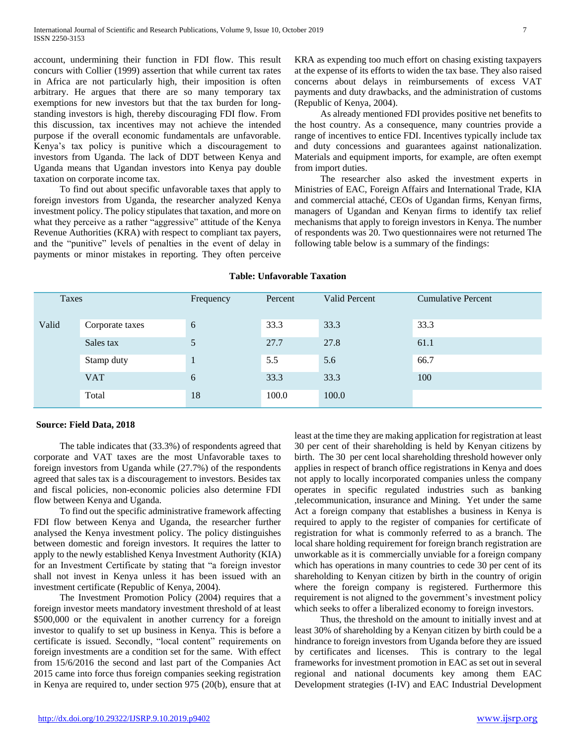account, undermining their function in FDI flow. This result concurs with Collier (1999) assertion that while current tax rates in Africa are not particularly high, their imposition is often arbitrary. He argues that there are so many temporary tax exemptions for new investors but that the tax burden for longstanding investors is high, thereby discouraging FDI flow. From this discussion, tax incentives may not achieve the intended purpose if the overall economic fundamentals are unfavorable. Kenya's tax policy is punitive which a discouragement to investors from Uganda. The lack of DDT between Kenya and Uganda means that Ugandan investors into Kenya pay double taxation on corporate income tax.

 To find out about specific unfavorable taxes that apply to foreign investors from Uganda, the researcher analyzed Kenya investment policy. The policy stipulates that taxation, and more on what they perceive as a rather "aggressive" attitude of the Kenya Revenue Authorities (KRA) with respect to compliant tax payers, and the "punitive" levels of penalties in the event of delay in payments or minor mistakes in reporting. They often perceive KRA as expending too much effort on chasing existing taxpayers at the expense of its efforts to widen the tax base. They also raised concerns about delays in reimbursements of excess VAT payments and duty drawbacks, and the administration of customs (Republic of Kenya, 2004).

 As already mentioned FDI provides positive net benefits to the host country. As a consequence, many countries provide a range of incentives to entice FDI. Incentives typically include tax and duty concessions and guarantees against nationalization. Materials and equipment imports, for example, are often exempt from import duties.

 The researcher also asked the investment experts in Ministries of EAC, Foreign Affairs and International Trade, KIA and commercial attaché, CEOs of Ugandan firms, Kenyan firms, managers of Ugandan and Kenyan firms to identify tax relief mechanisms that apply to foreign investors in Kenya. The number of respondents was 20. Two questionnaires were not returned The following table below is a summary of the findings:

| Taxes |                 | Frequency | Percent | <b>Valid Percent</b> | <b>Cumulative Percent</b> |
|-------|-----------------|-----------|---------|----------------------|---------------------------|
| Valid | Corporate taxes | 6         | 33.3    | 33.3                 | 33.3                      |
|       | Sales tax       | 5         | 27.7    | 27.8                 | 61.1                      |
|       | Stamp duty      |           | 5.5     | 5.6                  | 66.7                      |
|       | <b>VAT</b>      | 6         | 33.3    | 33.3                 | 100                       |
|       | Total           | 18        | 100.0   | 100.0                |                           |

### **Table: Unfavorable Taxation**

#### **Source: Field Data, 2018**

 The table indicates that (33.3%) of respondents agreed that corporate and VAT taxes are the most Unfavorable taxes to foreign investors from Uganda while (27.7%) of the respondents agreed that sales tax is a discouragement to investors. Besides tax and fiscal policies, non-economic policies also determine FDI flow between Kenya and Uganda.

 To find out the specific administrative framework affecting FDI flow between Kenya and Uganda, the researcher further analysed the Kenya investment policy. The policy distinguishes between domestic and foreign investors. It requires the latter to apply to the newly established Kenya Investment Authority (KIA) for an Investment Certificate by stating that "a foreign investor shall not invest in Kenya unless it has been issued with an investment certificate (Republic of Kenya, 2004).

 The Investment Promotion Policy (2004) requires that a foreign investor meets mandatory investment threshold of at least \$500,000 or the equivalent in another currency for a foreign investor to qualify to set up business in Kenya. This is before a certificate is issued. Secondly, "local content" requirements on foreign investments are a condition set for the same. With effect from 15/6/2016 the second and last part of the Companies Act 2015 came into force thus foreign companies seeking registration in Kenya are required to, under section 975 (20(b), ensure that at least at the time they are making application for registration at least 30 per cent of their shareholding is held by Kenyan citizens by birth. The 30 per cent local shareholding threshold however only applies in respect of branch office registrations in Kenya and does not apply to locally incorporated companies unless the company operates in specific regulated industries such as banking ,telecommunication, insurance and Mining. Yet under the same Act a foreign company that establishes a business in Kenya is required to apply to the register of companies for certificate of registration for what is commonly referred to as a branch. The local share holding requirement for foreign branch registration are unworkable as it is commercially unviable for a foreign company which has operations in many countries to cede 30 per cent of its shareholding to Kenyan citizen by birth in the country of origin where the foreign company is registered. Furthermore this requirement is not aligned to the government's investment policy which seeks to offer a liberalized economy to foreign investors.

 Thus, the threshold on the amount to initially invest and at least 30% of shareholding by a Kenyan citizen by birth could be a hindrance to foreign investors from Uganda before they are issued by certificates and licenses. This is contrary to the legal frameworks for investment promotion in EAC as set out in several regional and national documents key among them EAC Development strategies (I-IV) and EAC Industrial Development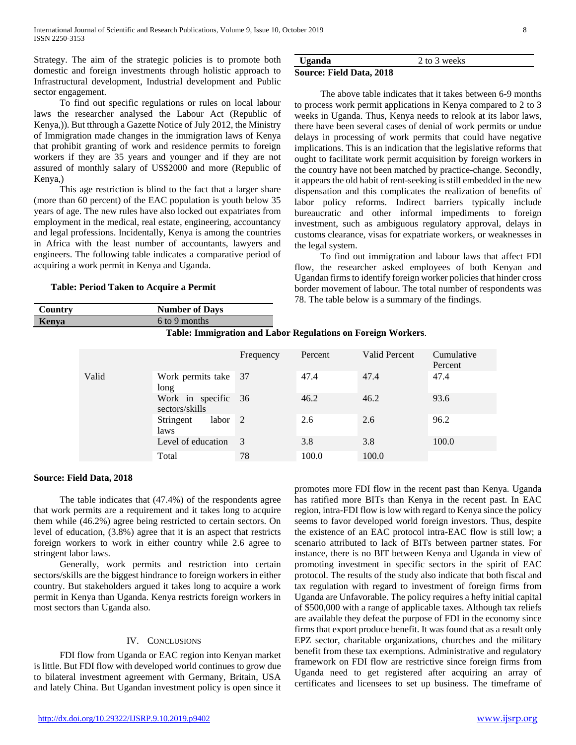Strategy. The aim of the strategic policies is to promote both domestic and foreign investments through holistic approach to Infrastructural development, Industrial development and Public sector engagement.

 To find out specific regulations or rules on local labour laws the researcher analysed the Labour Act (Republic of Kenya,)). But tthrough a Gazette Notice of July 2012, the Ministry of Immigration made changes in the immigration laws of Kenya that prohibit granting of work and residence permits to foreign workers if they are 35 years and younger and if they are not assured of monthly salary of US\$2000 and more (Republic of Kenya,)

 This age restriction is blind to the fact that a larger share (more than 60 percent) of the EAC population is youth below 35 years of age. The new rules have also locked out expatriates from employment in the medical, real estate, engineering, accountancy and legal professions. Incidentally, Kenya is among the countries in Africa with the least number of accountants, lawyers and engineers. The following table indicates a comparative period of acquiring a work permit in Kenya and Uganda.

## **Table: Period Taken to Acquire a Permit**

**Country Number of Days Kenya** 6 to 9 months

## **Uganda** 2 to 3 weeks **Source: Field Data, 2018**

 The above table indicates that it takes between 6-9 months to process work permit applications in Kenya compared to 2 to 3 weeks in Uganda. Thus, Kenya needs to relook at its labor laws, there have been several cases of denial of work permits or undue delays in processing of work permits that could have negative implications. This is an indication that the legislative reforms that ought to facilitate work permit acquisition by foreign workers in the country have not been matched by practice-change. Secondly, it appears the old habit of rent-seeking is still embedded in the new dispensation and this complicates the realization of benefits of labor policy reforms. Indirect barriers typically include bureaucratic and other informal impediments to foreign investment, such as ambiguous regulatory approval, delays in customs clearance, visas for expatriate workers, or weaknesses in the legal system.

 To find out immigration and labour laws that affect FDI flow, the researcher asked employees of both Kenyan and Ugandan firms to identify foreign worker policies that hinder cross border movement of labour. The total number of respondents was 78. The table below is a summary of the findings.

| Table: Immigration and Labor Regulations on Foreign Workers. |                                    |           |         |               |                       |  |  |  |  |
|--------------------------------------------------------------|------------------------------------|-----------|---------|---------------|-----------------------|--|--|--|--|
|                                                              |                                    | Frequency | Percent | Valid Percent | Cumulative<br>Percent |  |  |  |  |
| Valid                                                        | Work permits take 37<br>long       |           | 47.4    | 47.4          | 47.4                  |  |  |  |  |
|                                                              | Work in specific<br>sectors/skills | 36        | 46.2    | 46.2          | 93.6                  |  |  |  |  |
|                                                              | labor<br>Stringent<br>laws         | 2         | 2.6     | 2.6           | 96.2                  |  |  |  |  |
|                                                              | Level of education                 | 3         | 3.8     | 3.8           | 100.0                 |  |  |  |  |

Total 78 100.0 100.0

**Table: Immigration and Labor Regulations on Foreign Workers**.

## **Source: Field Data, 2018**

 The table indicates that (47.4%) of the respondents agree that work permits are a requirement and it takes long to acquire them while (46.2%) agree being restricted to certain sectors. On level of education, (3.8%) agree that it is an aspect that restricts foreign workers to work in either country while 2.6 agree to stringent labor laws.

 Generally, work permits and restriction into certain sectors/skills are the biggest hindrance to foreign workers in either country. But stakeholders argued it takes long to acquire a work permit in Kenya than Uganda. Kenya restricts foreign workers in most sectors than Uganda also.

## IV. CONCLUSIONS

 FDI flow from Uganda or EAC region into Kenyan market is little. But FDI flow with developed world continues to grow due to bilateral investment agreement with Germany, Britain, USA and lately China. But Ugandan investment policy is open since it

promotes more FDI flow in the recent past than Kenya. Uganda has ratified more BITs than Kenya in the recent past. In EAC region, intra-FDI flow is low with regard to Kenya since the policy seems to favor developed world foreign investors. Thus, despite the existence of an EAC protocol intra-EAC flow is still low; a scenario attributed to lack of BITs between partner states. For instance, there is no BIT between Kenya and Uganda in view of promoting investment in specific sectors in the spirit of EAC protocol. The results of the study also indicate that both fiscal and tax regulation with regard to investment of foreign firms from Uganda are Unfavorable. The policy requires a hefty initial capital of \$500,000 with a range of applicable taxes. Although tax reliefs are available they defeat the purpose of FDI in the economy since firms that export produce benefit. It was found that as a result only EPZ sector, charitable organizations, churches and the military benefit from these tax exemptions. Administrative and regulatory framework on FDI flow are restrictive since foreign firms from Uganda need to get registered after acquiring an array of certificates and licensees to set up business. The timeframe of